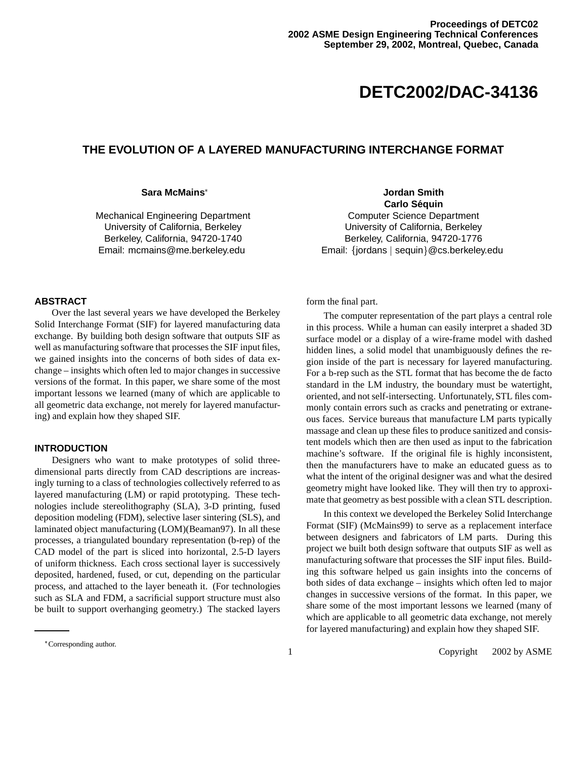# **DETC2002/DAC-34136**

# **THE EVOLUTION OF A LAYERED MANUFACTURING INTERCHANGE FORMAT**

#### **Sara McMains**

Mechanical Engineering Department University of California, Berkeley Berkeley, California, 94720-1740 Email: mcmains@me.berkeley.edu

**Jordan Smith Carlo Sequin ´** Computer Science Department University of California, Berkeley Berkeley, California, 94720-1776 Email: {jordans | sequin}@cs.berkeley.edu

# **ABSTRACT**

Over the last several years we have developed the Berkeley Solid Interchange Format (SIF) for layered manufacturing data exchange. By building both design software that outputs SIF as well as manufacturing software that processes the SIF input files, we gained insights into the concerns of both sides of data exchange – insights which often led to major changes in successive versions of the format. In this paper, we share some of the most important lessons we learned (many of which are applicable to all geometric data exchange, not merely for layered manufacturing) and explain how they shaped SIF.

# **INTRODUCTION**

Designers who want to make prototypes of solid threedimensional parts directly from CAD descriptions are increasingly turning to a class of technologies collectively referred to as layered manufacturing (LM) or rapid prototyping. These technologies include stereolithography (SLA), 3-D printing, fused deposition modeling (FDM), selective laser sintering (SLS), and laminated object manufacturing (LOM)(Beaman97). In all these processes, a triangulated boundary representation (b-rep) of the CAD model of the part is sliced into horizontal, 2.5-D layers of uniform thickness. Each cross sectional layer is successively deposited, hardened, fused, or cut, depending on the particular process, and attached to the layer beneath it. (For technologies such as SLA and FDM, a sacrificial support structure must also be built to support overhanging geometry.) The stacked layers

form the final part.

The computer representation of the part plays a central role in this process. While a human can easily interpret a shaded 3D surface model or a display of a wire-frame model with dashed hidden lines, a solid model that unambiguously defines the region inside of the part is necessary for layered manufacturing. For a b-rep such as the STL format that has become the de facto standard in the LM industry, the boundary must be watertight, oriented, and not self-intersecting. Unfortunately, STL files commonly contain errors such as cracks and penetrating or extraneous faces. Service bureaus that manufacture LM parts typically massage and clean up these files to produce sanitized and consistent models which then are then used as input to the fabrication machine's software. If the original file is highly inconsistent, then the manufacturers have to make an educated guess as to what the intent of the original designer was and what the desired geometry might have looked like. They will then try to approximate that geometry as best possible with a clean STL description.

In this context we developed the Berkeley Solid Interchange Format (SIF) (McMains99) to serve as a replacement interface between designers and fabricators of LM parts. During this project we built both design software that outputs SIF as well as manufacturing software that processes the SIF input files. Building this software helped us gain insights into the concerns of both sides of data exchange – insights which often led to major changes in successive versions of the format. In this paper, we share some of the most important lessons we learned (many of which are applicable to all geometric data exchange, not merely for layered manufacturing) and explain how they shaped SIF.

Corresponding author.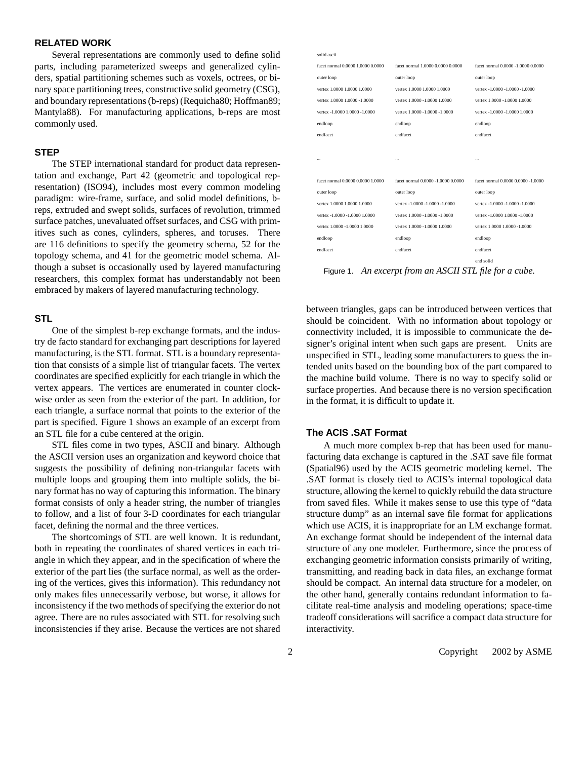# **RELATED WORK**

Several representations are commonly used to define solid parts, including parameterized sweeps and generalized cylinders, spatial partitioning schemes such as voxels, octrees, or binary space partitioning trees, constructive solid geometry (CSG), and boundary representations(b-reps) (Requicha80; Hoffman89; Mantyla88). For manufacturing applications, b-reps are most commonly used.

## **STEP**

The STEP international standard for product data representation and exchange, Part 42 (geometric and topological representation) (ISO94), includes most every common modeling paradigm: wire-frame, surface, and solid model definitions, breps, extruded and swept solids, surfaces of revolution, trimmed surface patches, unevaluated offset surfaces, and CSG with primitives such as cones, cylinders, spheres, and toruses. There are 116 definitions to specify the geometry schema, 52 for the topology schema, and 41 for the geometric model schema. Although a subset is occasionally used by layered manufacturing researchers, this complex format has understandably not been embraced by makers of layered manufacturing technology.

## **STL**

One of the simplest b-rep exchange formats, and the industry de facto standard for exchanging part descriptions for layered manufacturing, is the STL format. STL is a boundary representation that consists of a simple list of triangular facets. The vertex coordinates are specified explicitly for each triangle in which the vertex appears. The vertices are enumerated in counter clockwise order as seen from the exterior of the part. In addition, for each triangle, a surface normal that points to the exterior of the part is specified. Figure 1 shows an example of an excerpt from an STL file for a cube centered at the origin.

STL files come in two types, ASCII and binary. Although the ASCII version uses an organization and keyword choice that suggests the possibility of defining non-triangular facets with multiple loops and grouping them into multiple solids, the binary format has no way of capturing this information. The binary format consists of only a header string, the number of triangles to follow, and a list of four 3-D coordinates for each triangular facet, defining the normal and the three vertices.

The shortcomings of STL are well known. It is redundant, both in repeating the coordinates of shared vertices in each triangle in which they appear, and in the specification of where the exterior of the part lies (the surface normal, as well as the ordering of the vertices, gives this information). This redundancy not only makes files unnecessarily verbose, but worse, it allows for inconsistency if the two methods of specifying the exterior do not agree. There are no rules associated with STL for resolving such inconsistencies if they arise. Because the vertices are not shared

| solid ascii                       |                                    |                                    |
|-----------------------------------|------------------------------------|------------------------------------|
| facet normal 0,0000 1,0000 0,0000 | facet normal 1,0000 0,0000 0,0000  | facet normal 0.0000 -1.0000 0.0000 |
| outer loop                        | outer loop                         | outer loop                         |
| vertex 1,0000 1,0000 1,0000       | vertex 1,0000 1,0000 1,0000        | vertex -1.0000 -1.0000 -1.0000     |
| vertex 1.0000 1.0000 -1.0000      | vertex 1.0000 -1.0000 1.0000       | vertex 1.0000 -1.0000 1.0000       |
| vertex -1.0000 1.0000 -1.0000     | vertex 1.0000 -1.0000 -1.0000      | vertex -1.0000 -1.0000 1.0000      |
| endloop                           | endloop                            | endloop                            |
| endfacet                          | endfacet                           | endfacet                           |
|                                   |                                    |                                    |
|                                   |                                    | $\ddotsc$                          |
|                                   |                                    |                                    |
| facet normal 0,0000 0,0000 1,0000 | facet normal 0.0000 -1.0000 0.0000 | facet normal 0.0000 0.0000 -1.0000 |
| outer loop                        | outer loop                         | outer loop                         |
| vertex 1.0000 1.0000 1.0000       | vertex -1.0000 -1.0000 -1.0000     | vertex -1.0000 -1.0000 -1.0000     |
| vertex -1.0000 -1.0000 1.0000     | vertex 1.0000 -1.0000 -1.0000      | vertex -1.0000 1.0000 -1.0000      |
| vertex 1.0000 -1.0000 1.0000      | vertex 1.0000 -1.0000 1.0000       | vertex 1.0000 1.0000 -1.0000       |
| endloop                           | endloop                            | endloop                            |
| endfacet                          | endfacet                           | endfacet                           |
|                                   |                                    | end solid                          |

Figure 1. *An excerpt from an ASCII STL file for a cube.*

between triangles, gaps can be introduced between vertices that should be coincident. With no information about topology or connectivity included, it is impossible to communicate the designer's original intent when such gaps are present. Units are unspecified in STL, leading some manufacturers to guess the intended units based on the bounding box of the part compared to the machine build volume. There is no way to specify solid or surface properties. And because there is no version specification in the format, it is difficult to update it.

# **The ACIS .SAT Format**

A much more complex b-rep that has been used for manufacturing data exchange is captured in the .SAT save file format (Spatial96) used by the ACIS geometric modeling kernel. The .SAT format is closely tied to ACIS's internal topological data structure, allowing the kernel to quickly rebuild the data structure from saved files. While it makes sense to use this type of "data structure dump" as an internal save file format for applications which use ACIS, it is inappropriate for an LM exchange format. An exchange format should be independent of the internal data structure of any one modeler. Furthermore, since the process of exchanging geometric information consists primarily of writing, transmitting, and reading back in data files, an exchange format should be compact. An internal data structure for a modeler, on the other hand, generally contains redundant information to facilitate real-time analysis and modeling operations; space-time tradeoff considerations will sacrifice a compact data structure for interactivity.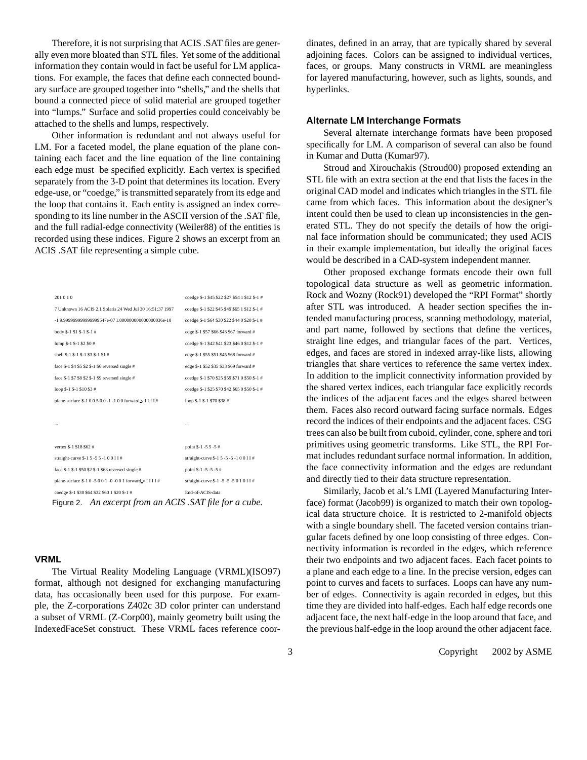Therefore, it is not surprising that ACIS .SAT files are generally even more bloated than STL files. Yet some of the additional information they contain would in fact be useful for LM applications. For example, the faces that define each connected boundary surface are grouped together into "shells," and the shells that bound a connected piece of solid material are grouped together into "lumps." Surface and solid properties could conceivably be attached to the shells and lumps, respectively.

Other information is redundant and not always useful for LM. For a faceted model, the plane equation of the plane containing each facet and the line equation of the line containing each edge must be specified explicitly. Each vertex is specified separately from the 3-D point that determines its location. Every edge-use, or "coedge," is transmitted separately from its edge and the loop that contains it. Each entity is assigned an index corresponding to its line number in the ASCII version of the .SAT file, and the full radial-edge connectivity (Weiler88) of the entities is recorded using these indices. Figure 2 shows an excerpt from an ACIS .SAT file representing a simple cube.

| 201010                                                     | coedge \$-1 \$45 \$22 \$27 \$54 1 \$12 \$-1 # |
|------------------------------------------------------------|-----------------------------------------------|
| 7 Unknown 16 ACIS 2.1 Solaris 24 Wed Jul 30 16:51:37 1997  | coedge \$-1 \$22 \$45 \$49 \$65 1 \$12 \$-1 # |
| -1 9.999999999999999547e-07 1.0000000000000000036e-10      | coedge \$-1 \$64 \$30 \$22 \$44 0 \$20 \$-1 # |
| body \$-1 \$1 \$-1 \$-1#                                   | edge \$-1 \$57 \$66 \$43 \$67 forward #       |
| lump \$-1 \$-1 \$2 \$0 #                                   | coedge \$-1 \$42 \$41 \$23 \$46 0 \$12 \$-1 # |
| shell \$-1 \$-1 \$-1 \$3 \$-1 \$1 #                        | edge \$-1 \$55 \$51 \$45 \$68 forward #       |
| face \$-1 \$4 \$5 \$2 \$-1 \$6 reversed single #           | edge \$-1 \$52 \$35 \$33 \$69 forward #       |
| face \$-1 \$7 \$8 \$2 \$-1 \$9 reversed single #           | coedge \$-1 \$70 \$25 \$59 \$71 0 \$50 \$-1 # |
| loop $$-1$ $$-1$ $$10$ $$3$ $#$                            | coedge \$-1 \$25 \$70 \$42 \$65 0 \$50 \$-1 # |
| plane-surface \$-1 0 0 5 0 0 -1 -1 0 0 forward v I I I I # | loop \$-1 \$-1 \$70 \$38 #                    |
|                                                            |                                               |
|                                                            | $\ddotsc$                                     |
|                                                            |                                               |
| vertex \$-1 \$18 \$62 #                                    | point \$-1 -5 5 -5 #                          |
| straight-curve \$-1 5 -5 5 -1 0 0 I I #                    | straight-curve \$-1 5 -5 -5 -1 0 0 I I #      |
| face \$-1 \$-1 \$50 \$2 \$-1 \$63 reversed single #        | point \$-1-5-5-5#                             |
| plane-surface \$-1 0 -5 0 0 1 -0 -0 0 1 forward v IIII#    | straight-curve \$-1 -5 -5 -5 0 1 0 I I #      |
| coedge \$-1 \$30 \$64 \$32 \$60 1 \$20 \$-1 #              | End-of-ACIS-data                              |

Figure 2. *An excerpt from an ACIS .SAT file for a cube.*

#### **VRML**

The Virtual Reality Modeling Language (VRML)(ISO97) format, although not designed for exchanging manufacturing data, has occasionally been used for this purpose. For example, the Z-corporations Z402c 3D color printer can understand a subset of VRML (Z-Corp00), mainly geometry built using the IndexedFaceSet construct. These VRML faces reference coordinates, defined in an array, that are typically shared by several adjoining faces. Colors can be assigned to individual vertices, faces, or groups. Many constructs in VRML are meaningless for layered manufacturing, however, such as lights, sounds, and hyperlinks.

#### **Alternate LM Interchange Formats**

Several alternate interchange formats have been proposed specifically for LM. A comparison of several can also be found in Kumar and Dutta (Kumar97).

Stroud and Xirouchakis (Stroud00) proposed extending an STL file with an extra section at the end that lists the faces in the original CAD model and indicates which triangles in the STL file came from which faces. This information about the designer's intent could then be used to clean up inconsistencies in the generated STL. They do not specify the details of how the original face information should be communicated; they used ACIS in their example implementation, but ideally the original faces would be described in a CAD-system independent manner.

Other proposed exchange formats encode their own full topological data structure as well as geometric information. Rock and Wozny (Rock91) developed the "RPI Format" shortly after STL was introduced. A header section specifies the intended manufacturing process, scanning methodology, material, and part name, followed by sections that define the vertices, straight line edges, and triangular faces of the part. Vertices, edges, and faces are stored in indexed array-like lists, allowing triangles that share vertices to reference the same vertex index. In addition to the implicit connectivity information provided by the shared vertex indices, each triangular face explicitly records the indices of the adjacent faces and the edges shared between them. Faces also record outward facing surface normals. Edges record the indices of their endpoints and the adjacent faces. CSG trees can also be built from cuboid, cylinder, cone, sphere and tori primitives using geometric transforms. Like STL, the RPI Format includes redundant surface normal information. In addition, the face connectivity information and the edges are redundant and directly tied to their data structure representation.

Similarly, Jacob et al.'s LMI (Layered Manufacturing Interface) format (Jacob99) is organized to match their own topological data structure choice. It is restricted to 2-manifold objects with a single boundary shell. The faceted version contains triangular facets defined by one loop consisting of three edges. Connectivity information is recorded in the edges, which reference their two endpoints and two adjacent faces. Each facet points to a plane and each edge to a line. In the precise version, edges can point to curves and facets to surfaces. Loops can have any number of edges. Connectivity is again recorded in edges, but this time they are divided into half-edges. Each half edge records one adjacent face, the next half-edge in the loop around that face, and the previous half-edge in the loop around the other adjacent face.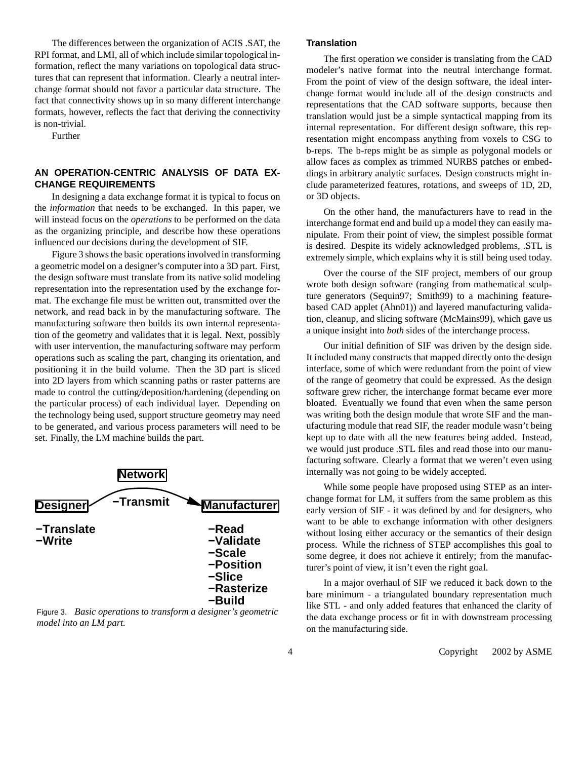The differences between the organization of ACIS .SAT, the RPI format, and LMI, all of which include similar topological information, reflect the many variations on topological data structures that can represent that information. Clearly a neutral interchange format should not favor a particular data structure. The fact that connectivity shows up in so many different interchange formats, however, reflects the fact that deriving the connectivity is non-trivial.

Further

# **AN OPERATION-CENTRIC ANALYSIS OF DATA EX-CHANGE REQUIREMENTS**

In designing a data exchange format it is typical to focus on the *information* that needs to be exchanged. In this paper, we will instead focus on the *operations* to be performed on the data as the organizing principle, and describe how these operations influenced our decisions during the development of SIF.

Figure 3 shows the basic operations involved in transforming a geometric model on a designer's computer into a 3D part. First, the design software must translate from its native solid modeling representation into the representation used by the exchange format. The exchange file must be written out, transmitted over the network, and read back in by the manufacturing software. The manufacturing software then builds its own internal representation of the geometry and validates that it is legal. Next, possibly with user intervention, the manufacturing software may perform operations such as scaling the part, changing its orientation, and positioning it in the build volume. Then the 3D part is sliced into 2D layers from which scanning paths or raster patterns are made to control the cutting/deposition/hardening (depending on the particular process) of each individual layer. Depending on the technology being used, support structure geometry may need to be generated, and various process parameters will need to be set. Finally, the LM machine builds the part.



Figure 3. *Basic operations to transform a designer's geometric model into an LM part.*

## **Translation**

The first operation we consider is translating from the CAD modeler's native format into the neutral interchange format. From the point of view of the design software, the ideal interchange format would include all of the design constructs and representations that the CAD software supports, because then translation would just be a simple syntactical mapping from its internal representation. For different design software, this representation might encompass anything from voxels to CSG to b-reps. The b-reps might be as simple as polygonal models or allow faces as complex as trimmed NURBS patches or embeddings in arbitrary analytic surfaces. Design constructs might include parameterized features, rotations, and sweeps of 1D, 2D, or 3D objects.

On the other hand, the manufacturers have to read in the interchange format end and build up a model they can easily manipulate. From their point of view, the simplest possible format is desired. Despite its widely acknowledged problems, .STL is extremely simple, which explains why it is still being used today.

Over the course of the SIF project, members of our group wrote both design software (ranging from mathematical sculpture generators (Sequin97; Smith99) to a machining featurebased CAD applet (Ahn01)) and layered manufacturing validation, cleanup, and slicing software (McMains99), which gave us a unique insight into *both* sides of the interchange process.

Our initial definition of SIF was driven by the design side. It included many constructs that mapped directly onto the design interface, some of which were redundant from the point of view of the range of geometry that could be expressed. As the design software grew richer, the interchange format became ever more bloated. Eventually we found that even when the same person was writing both the design module that wrote SIF and the manufacturing module that read SIF, the reader module wasn't being kept up to date with all the new features being added. Instead, we would just produce .STL files and read those into our manufacturing software. Clearly a format that we weren't even using internally was not going to be widely accepted.

While some people have proposed using STEP as an interchange format for LM, it suffers from the same problem as this early version of SIF - it was defined by and for designers, who want to be able to exchange information with other designers without losing either accuracy or the semantics of their design process. While the richness of STEP accomplishes this goal to some degree, it does not achieve it entirely; from the manufacturer's point of view, it isn't even the right goal.

In a major overhaul of SIF we reduced it back down to the bare minimum - a triangulated boundary representation much like STL - and only added features that enhanced the clarity of the data exchange process or fit in with downstream processing on the manufacturing side.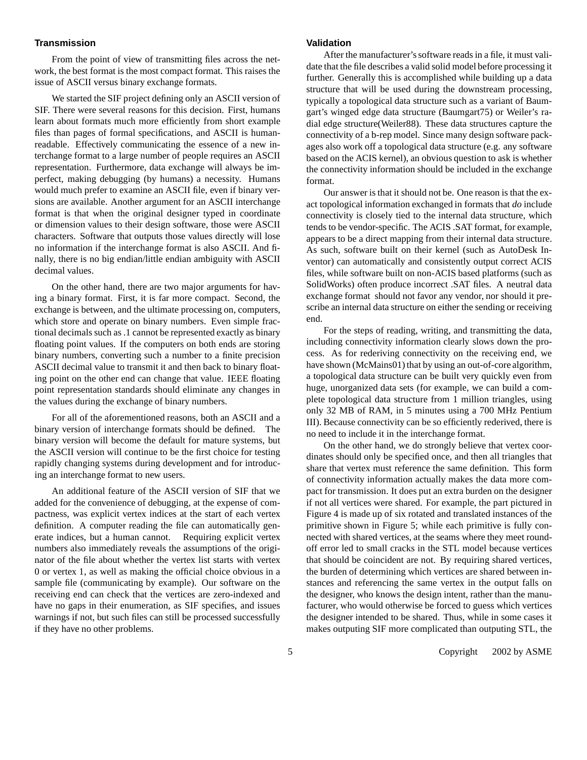## **Transmission**

From the point of view of transmitting files across the network, the best format is the most compact format. This raises the issue of ASCII versus binary exchange formats.

We started the SIF project defining only an ASCII version of SIF. There were several reasons for this decision. First, humans learn about formats much more efficiently from short example files than pages of formal specifications, and ASCII is humanreadable. Effectively communicating the essence of a new interchange format to a large number of people requires an ASCII representation. Furthermore, data exchange will always be imperfect, making debugging (by humans) a necessity. Humans would much prefer to examine an ASCII file, even if binary versions are available. Another argument for an ASCII interchange format is that when the original designer typed in coordinate or dimension values to their design software, those were ASCII characters. Software that outputs those values directly will lose no information if the interchange format is also ASCII. And finally, there is no big endian/little endian ambiguity with ASCII decimal values.

On the other hand, there are two major arguments for having a binary format. First, it is far more compact. Second, the exchange is between, and the ultimate processing on, computers, which store and operate on binary numbers. Even simple fractional decimals such as .1 cannot be represented exactly as binary floating point values. If the computers on both ends are storing binary numbers, converting such a number to a finite precision ASCII decimal value to transmit it and then back to binary floating point on the other end can change that value. IEEE floating point representation standards should eliminate any changes in the values during the exchange of binary numbers.

For all of the aforementioned reasons, both an ASCII and a binary version of interchange formats should be defined. The binary version will become the default for mature systems, but the ASCII version will continue to be the first choice for testing rapidly changing systems during development and for introducing an interchange format to new users.

An additional feature of the ASCII version of SIF that we added for the convenience of debugging, at the expense of compactness, was explicit vertex indices at the start of each vertex definition. A computer reading the file can automatically generate indices, but a human cannot. Requiring explicit vertex numbers also immediately reveals the assumptions of the originator of the file about whether the vertex list starts with vertex 0 or vertex 1, as well as making the official choice obvious in a sample file (communicating by example). Our software on the receiving end can check that the vertices are zero-indexed and have no gaps in their enumeration, as SIF specifies, and issues warnings if not, but such files can still be processed successfully if they have no other problems.

## **Validation**

After the manufacturer'ssoftware reads in a file, it must validate that the file describes a valid solid model before processing it further. Generally this is accomplished while building up a data structure that will be used during the downstream processing, typically a topological data structure such as a variant of Baumgart's winged edge data structure (Baumgart75) or Weiler's radial edge structure(Weiler88). These data structures capture the connectivity of a b-rep model. Since many design software packages also work off a topological data structure (e.g. any software based on the ACIS kernel), an obvious question to ask is whether the connectivity information should be included in the exchange format.

Our answer is that it should not be. One reason is that the exact topological information exchanged in formats that *do* include connectivity is closely tied to the internal data structure, which tends to be vendor-specific. The ACIS .SAT format, for example, appears to be a direct mapping from their internal data structure. As such, software built on their kernel (such as AutoDesk Inventor) can automatically and consistently output correct ACIS files, while software built on non-ACIS based platforms (such as SolidWorks) often produce incorrect .SAT files. A neutral data exchange format should not favor any vendor, nor should it prescribe an internal data structure on either the sending or receiving end.

For the steps of reading, writing, and transmitting the data, including connectivity information clearly slows down the process. As for rederiving connectivity on the receiving end, we have shown (McMains01) that by using an out-of-core algorithm, a topological data structure can be built very quickly even from huge, unorganized data sets (for example, we can build a complete topological data structure from 1 million triangles, using only 32 MB of RAM, in 5 minutes using a 700 MHz Pentium III). Because connectivity can be so efficiently rederived, there is no need to include it in the interchange format.

On the other hand, we do strongly believe that vertex coordinates should only be specified once, and then all triangles that share that vertex must reference the same definition. This form of connectivity information actually makes the data more compact for transmission. It does put an extra burden on the designer if not all vertices were shared. For example, the part pictured in Figure 4 is made up of six rotated and translated instances of the primitive shown in Figure 5; while each primitive is fully connected with shared vertices, at the seams where they meet roundoff error led to small cracks in the STL model because vertices that should be coincident are not. By requiring shared vertices, the burden of determining which vertices are shared between instances and referencing the same vertex in the output falls on the designer, who knows the design intent, rather than the manufacturer, who would otherwise be forced to guess which vertices the designer intended to be shared. Thus, while in some cases it makes outputing SIF more complicated than outputing STL, the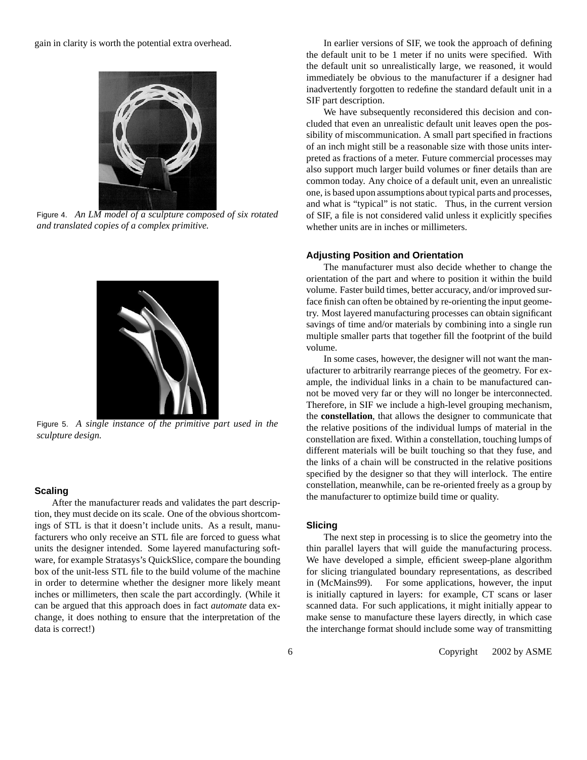

Figure 4. *An LM model of a sculpture composed of six rotated and translated copies of a complex primitive.*



Figure 5. *A single instance of the primitive part used in the sculpture design.*

## **Scaling**

After the manufacturer reads and validates the part description, they must decide on its scale. One of the obvious shortcomings of STL is that it doesn't include units. As a result, manufacturers who only receive an STL file are forced to guess what units the designer intended. Some layered manufacturing software, for example Stratasys's QuickSlice, compare the bounding box of the unit-less STL file to the build volume of the machine in order to determine whether the designer more likely meant inches or millimeters, then scale the part accordingly. (While it can be argued that this approach does in fact *automate* data exchange, it does nothing to ensure that the interpretation of the data is correct!)

In earlier versions of SIF, we took the approach of defining the default unit to be 1 meter if no units were specified. With the default unit so unrealistically large, we reasoned, it would immediately be obvious to the manufacturer if a designer had inadvertently forgotten to redefine the standard default unit in a SIF part description.

We have subsequently reconsidered this decision and concluded that even an unrealistic default unit leaves open the possibility of miscommunication. A small part specified in fractions of an inch might still be a reasonable size with those units interpreted as fractions of a meter. Future commercial processes may also support much larger build volumes or finer details than are common today. Any choice of a default unit, even an unrealistic one, is based upon assumptions about typical parts and processes, and what is "typical" is not static. Thus, in the current version of SIF, a file is not considered valid unless it explicitly specifies whether units are in inches or millimeters.

#### **Adjusting Position and Orientation**

 orientation of the part and where to position it within the build The manufacturer must also decide whether to change the volume. Faster build times, better accuracy, and/or improved surface finish can often be obtained by re-orienting the input geometry. Most layered manufacturing processes can obtain significant savings of time and/or materials by combining into a single run multiple smaller parts that together fill the footprint of the build volume.

> In some cases, however, the designer will not want the manufacturer to arbitrarily rearrange pieces of the geometry. For example, the individual links in a chain to be manufactured cannot be moved very far or they will no longer be interconnected. Therefore, in SIF we include a high-level grouping mechanism, the **constellation**, that allows the designer to communicate that the relative positions of the individual lumps of material in the constellation are fixed. Within a constellation, touching lumps of different materials will be built touching so that they fuse, and the links of a chain will be constructed in the relative positions specified by the designer so that they will interlock. The entire constellation, meanwhile, can be re-oriented freely as a group by the manufacturer to optimize build time or quality.

#### **Slicing**

The next step in processing is to slice the geometry into the thin parallel layers that will guide the manufacturing process. We have developed a simple, efficient sweep-plane algorithm for slicing triangulated boundary representations, as described in (McMains99). For some applications, however, the input is initially captured in layers: for example, CT scans or laser scanned data. For such applications, it might initially appear to make sense to manufacture these layers directly, in which case the interchange format should include some way of transmitting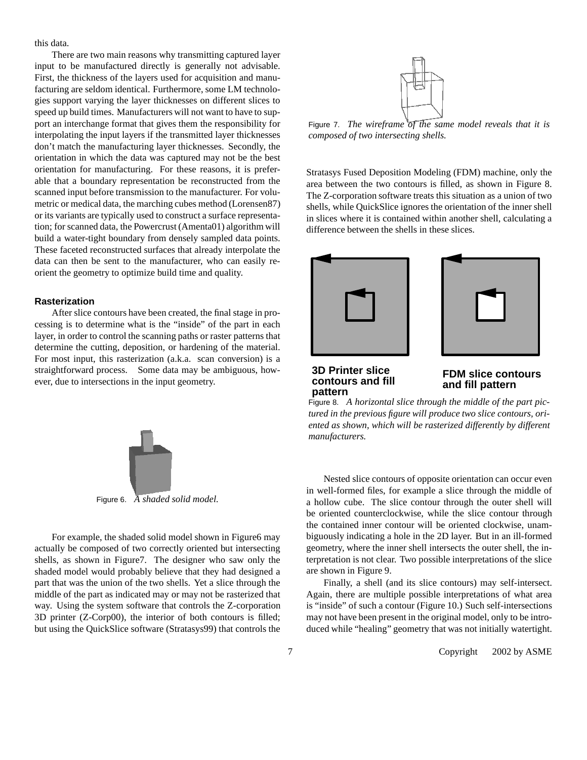this data.

There are two main reasons why transmitting captured layer input to be manufactured directly is generally not advisable. First, the thickness of the layers used for acquisition and manufacturing are seldom identical. Furthermore, some LM technologies support varying the layer thicknesses on different slices to speed up build times. Manufacturers will not want to have to support an interchange format that gives them the responsibility for interpolating the input layers if the transmitted layer thicknesses don't match the manufacturing layer thicknesses. Secondly, the orientation in which the data was captured may not be the best orientation for manufacturing. For these reasons, it is preferable that a boundary representation be reconstructed from the scanned input before transmission to the manufacturer. For volumetric or medical data, the marching cubes method (Lorensen87) or its variants are typically used to construct a surface representation; for scanned data, the Powercrust (Amenta01) algorithm will build a water-tight boundary from densely sampled data points. These faceted reconstructed surfaces that already interpolate the data can then be sent to the manufacturer, who can easily reorient the geometry to optimize build time and quality.

#### **Rasterization**

After slice contours have been created, the final stage in processing is to determine what is the "inside" of the part in each layer, in order to control the scanning paths or raster patterns that determine the cutting, deposition, or hardening of the material. For most input, this rasterization (a.k.a. scan conversion) is a straightforward process. Some data may be ambiguous, however, due to intersections in the input geometry.



Figure 6. *A shaded solid model.*

For example, the shaded solid model shown in Figure6 may actually be composed of two correctly oriented but intersecting shells, as shown in Figure7. The designer who saw only the shaded model would probably believe that they had designed a part that was the union of the two shells. Yet a slice through the middle of the part as indicated may or may not be rasterized that way. Using the system software that controls the Z-corporation 3D printer (Z-Corp00), the interior of both contours is filled; but using the QuickSlice software (Stratasys99) that controls the



Figure 7. *The wireframe of the same model reveals that it is composed of two intersecting shells.*

Stratasys Fused Deposition Modeling (FDM) machine, only the area between the two contours is filled, as shown in Figure 8. The Z-corporation software treats this situation as a union of two shells, while QuickSlice ignores the orientation of the inner shell in slices where it is contained within another shell, calculating a difference between the shells in these slices.



**3D Printer slice contours and fill pattern**

# **FDM slice contours and fill pattern**

Figure 8. *A horizontal slice through the middle of the part pictured in the previous figure will produce two slice contours, oriented as shown, which will be rasterized differently by different manufacturers.*

Nested slice contours of opposite orientation can occur even in well-formed files, for example a slice through the middle of a hollow cube. The slice contour through the outer shell will be oriented counterclockwise, while the slice contour through the contained inner contour will be oriented clockwise, unambiguously indicating a hole in the 2D layer. But in an ill-formed geometry, where the inner shell intersects the outer shell, the interpretation is not clear. Two possible interpretations of the slice are shown in Figure 9.

Finally, a shell (and its slice contours) may self-intersect. Again, there are multiple possible interpretations of what area is "inside" of such a contour (Figure 10.) Such self-intersections may not have been present in the original model, only to be introduced while "healing" geometry that was not initially watertight.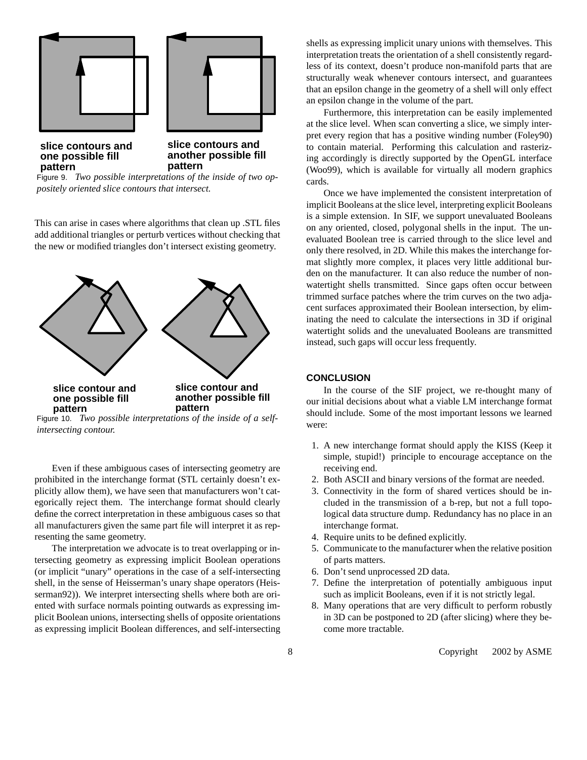

**another possible fill pattern**

Figure 9. *Two possible interpretations of the inside of two oppositely oriented slice contours that intersect.*

**pattern**

This can arise in cases where algorithms that clean up .STL files add additional triangles or perturb vertices without checking that the new or modified triangles don't intersect existing geometry.



Figure 10. *Two possible interpretations of the inside of a selfintersecting contour.*

Even if these ambiguous cases of intersecting geometry are prohibited in the interchange format (STL certainly doesn't explicitly allow them), we have seen that manufacturers won't categorically reject them. The interchange format should clearly define the correct interpretation in these ambiguous cases so that all manufacturers given the same part file will interpret it as representing the same geometry.

The interpretation we advocate is to treat overlapping or intersecting geometry as expressing implicit Boolean operations (or implicit "unary" operations in the case of a self-intersecting shell, in the sense of Heisserman's unary shape operators (Heisserman92)). We interpret intersecting shells where both are oriented with surface normals pointing outwards as expressing implicit Boolean unions, intersecting shells of opposite orientations as expressing implicit Boolean differences, and self-intersecting shells as expressing implicit unary unions with themselves. This interpretation treats the orientation of a shell consistently regardless of its context, doesn't produce non-manifold parts that are structurally weak whenever contours intersect, and guarantees that an epsilon change in the geometry of a shell will only effect an epsilon change in the volume of the part.

Furthermore, this interpretation can be easily implemented at the slice level. When scan converting a slice, we simply interpret every region that has a positive winding number (Foley90) to contain material. Performing this calculation and rasterizing accordingly is directly supported by the OpenGL interface (Woo99), which is available for virtually all modern graphics cards.

Once we have implemented the consistent interpretation of implicit Booleans at the slice level, interpreting explicit Booleans is a simple extension. In SIF, we support unevaluated Booleans on any oriented, closed, polygonal shells in the input. The unevaluated Boolean tree is carried through to the slice level and only there resolved, in 2D. While this makes the interchange format slightly more complex, it places very little additional burden on the manufacturer. It can also reduce the number of nonwatertight shells transmitted. Since gaps often occur between trimmed surface patches where the trim curves on the two adjacent surfaces approximated their Boolean intersection, by eliminating the need to calculate the intersections in 3D if original watertight solids and the unevaluated Booleans are transmitted instead, such gaps will occur less frequently.

## **CONCLUSION**

In the course of the SIF project, we re-thought many of our initial decisions about what a viable LM interchange format should include. Some of the most important lessons we learned were:

- 1. A new interchange format should apply the KISS (Keep it simple, stupid!) principle to encourage acceptance on the receiving end.
- 2. Both ASCII and binary versions of the format are needed.
- 3. Connectivity in the form of shared vertices should be included in the transmission of a b-rep, but not a full topological data structure dump. Redundancy has no place in an interchange format.
- 4. Require units to be defined explicitly.
- 5. Communicate to the manufacturer when the relative position of parts matters.
- 6. Don't send unprocessed 2D data.
- 7. Define the interpretation of potentially ambiguous input such as implicit Booleans, even if it is not strictly legal.
- 8. Many operations that are very difficult to perform robustly in 3D can be postponed to 2D (after slicing) where they become more tractable.